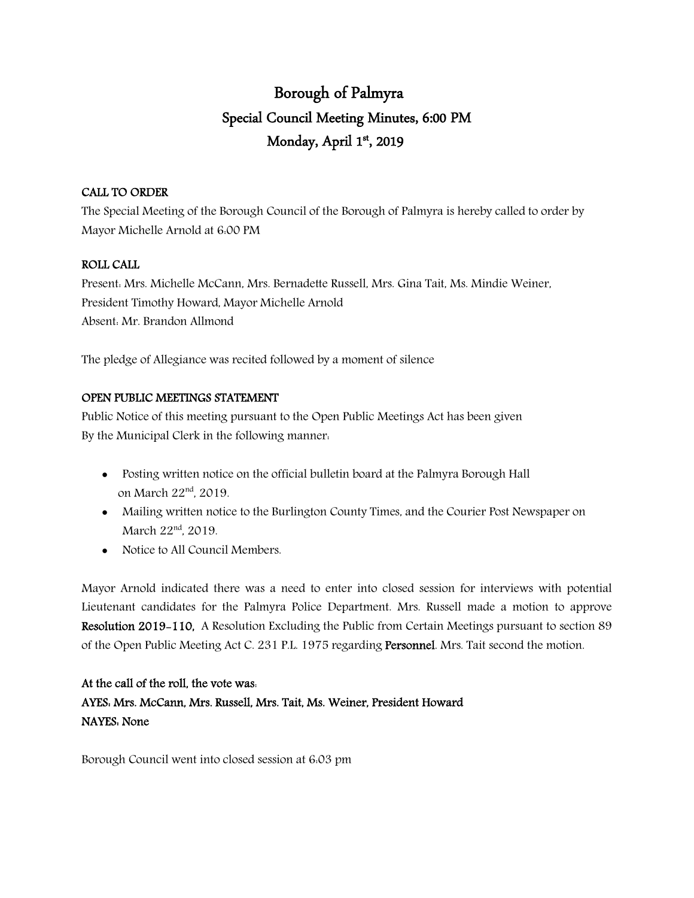# Borough of Palmyra Special Council Meeting Minutes, 6:00 PM Monday, April 1st, 2019

#### CALL TO ORDER

The Special Meeting of the Borough Council of the Borough of Palmyra is hereby called to order by Mayor Michelle Arnold at 6:00 PM

#### ROLL CALL

Present: Mrs. Michelle McCann, Mrs. Bernadette Russell, Mrs. Gina Tait, Ms. Mindie Weiner, President Timothy Howard, Mayor Michelle Arnold Absent: Mr. Brandon Allmond

The pledge of Allegiance was recited followed by a moment of silence

#### OPEN PUBLIC MEETINGS STATEMENT

Public Notice of this meeting pursuant to the Open Public Meetings Act has been given By the Municipal Clerk in the following manner:

- Posting written notice on the official bulletin board at the Palmyra Borough Hall on March 22nd, 2019.
- Mailing written notice to the Burlington County Times, and the Courier Post Newspaper on March 22<sup>nd</sup>, 2019.
- Notice to All Council Members.

Mayor Arnold indicated there was a need to enter into closed session for interviews with potential Lieutenant candidates for the Palmyra Police Department. Mrs. Russell made a motion to approve Resolution 2019-110, A Resolution Excluding the Public from Certain Meetings pursuant to section 89 of the Open Public Meeting Act C. 231 P.L. 1975 regarding Personnel. Mrs. Tait second the motion.

## At the call of the roll, the vote was: AYES: Mrs. McCann, Mrs. Russell, Mrs. Tait, Ms. Weiner, President Howard NAYES: None

Borough Council went into closed session at 6:03 pm